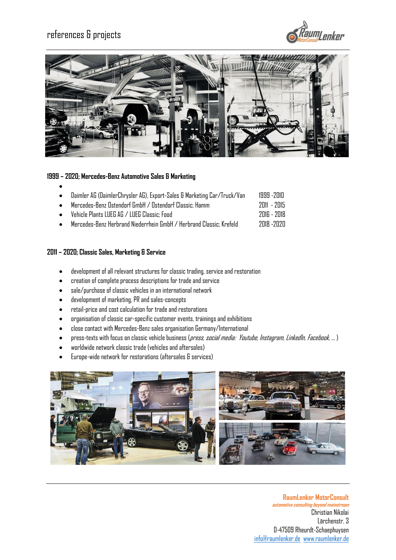



### **1999 – 2020; Mercedes-Benz Automotive Sales & Marketing**

|  |  | Daimler AG (DaimlerChrysler AG), Export-Sales & Marketing Car/Truck/Van |  |  |  |  |  | 1999 -2010  |  |
|--|--|-------------------------------------------------------------------------|--|--|--|--|--|-------------|--|
|  |  |                                                                         |  |  |  |  |  | $221$ $221$ |  |

- Mercedes-Benz Ostendorf GmbH / Ostendorf Classic; Hamm 2011 -2015 • Vehicle Plants LUEG AG / LUEG Classic; Food 2016 -2018
- Mercedes-Benz Herbrand Niederrhein GmbH / Herbrand Classic; Krefeld 2018 -2020

#### **2011 – 2020; Classic Sales, Marketing & Service**

- development of all relevant structures for classic trading, service and restoration
- creation of complete process descriptions for trade and service
- sale/purchase of classic vehicles in an international network
- development of marketing, PR and sales-concepts
- retail-price and cost calculation for trade and restorations
- organisation of classic car-specific customer events, trainings and exhibitions
- close contact with Mercedes-Benz sales organisation Germany/International
- press-texts with focus on classic vehicle business (*press, social media: Youtube, Instagram, LinkedIn, Facebook*, ...)
- worldwide network classic trade (vehicles and aftersales)
- Europe-wide network for restorations (aftersales & services)

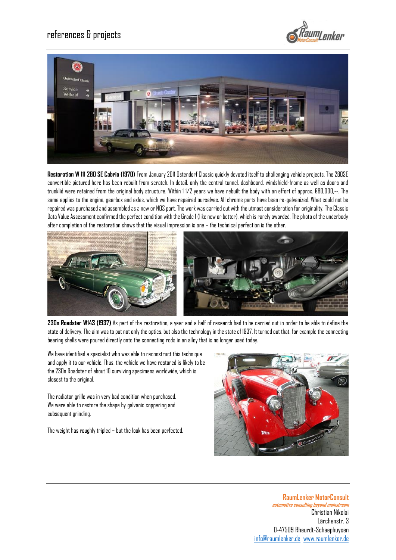



**Restoration W 111 280 SE Cabrio (1970)** From January 2011 Ostendorf Classic quickly devoted itself to challenging vehicle projects. The 280SE convertible pictured here has been rebuilt from scratch. In detail, only the central tunnel, dashboard, windshield-frame as well as doors and trunklid were retained from the original body structure. Within 1 1/2 years we have rebuilt the body with an effort of approx. €80,000,--. The same applies to the engine, gearbox and axles, which we have repaired ourselves. All chrome parts have been re-galvanized. What could not be repaired was purchased and assembled as a new or NOS part. The work was carried out with the utmost consideration for originality. The Classic Data Value Assessment confirmed the perfect condition with the Grade 1 (like new or better), which is rarely awarded. The photo of the underbody after completion of the restoration shows that the visual impression is one – the technical perfection is the other.



**230n Roadster W143 (1937)** As part of the restoration, a year and a half of research had to be carried out in order to be able to define the state of delivery. The aim was to put not only the optics, but also the technology in the state of 1937. It turned out that, for example the connecting bearing shells were poured directly onto the connecting rods in an alloy that is no longer used today.

We have identified a specialist who was able to reconstruct this technique and apply it to our vehicle. Thus, the vehicle we have restored is likely to be the 230n Roadster of about 10 surviving specimens worldwide, which is closest to the original.

The radiator grille was in very bad condition when purchased. We were able to restore the shape by galvanic coppering and subsequent grinding.

The weight has roughly tripled – but the look has been perfected.

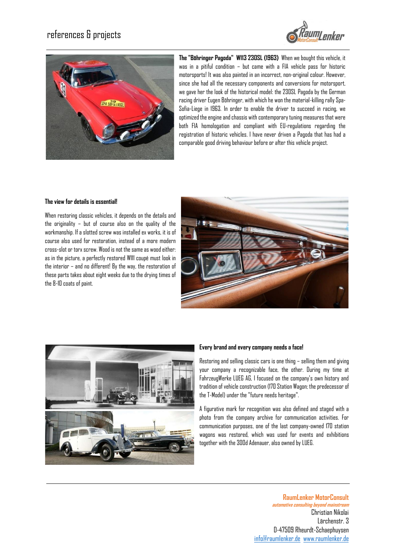



**The "Böhringer Pagoda" W113 230SL (1963)** When we bought this vehicle, it was in a pitiful condition – but came with a FIA vehicle pass for historic motorsports! It was also painted in an incorrect, non-original colour. However, since she had all the necessary components and conversions for motorsport, we gave her the look of the historical model: the 230SL Pagoda by the German racing driver Eugen Böhringer, with which he won the material-killing rally Spa-Sofia-Liege in 1963. In order to enable the driver to succeed in racing, we optimized the engine and chassis with contemporary tuning measures that were both FIA homologation and compliant with EU-regulations regarding the registration of historic vehicles. I have never driven a Pagoda that has had a comparable good driving behaviour before or after this vehicle project.

#### **The view for details is essential!**

When restoring classic vehicles, it depends on the details and the originality – but of course also on the quality of the workmanship. If a slotted screw was installed ex works, it is of course also used for restoration, instead of a more modern cross-slot or torx screw. Wood is not the same as wood either: as in the picture, a perfectly restored W111 coupé must look in the interior – and no different! By the way, the restoration of these parts takes about eight weeks due to the drying times of the 8-10 coats of paint.





#### **Every brand and every company needs a face!**

Restoring and selling classic cars is one thing – selling them and giving your company a recognizable face, the other. During my time at FahrzeugWerke LUEG AG, I focused on the company's own history and tradition of vehicle construction (170 Station Wagon; the predecessor of the T-Model) under the "future needs heritage".

A figurative mark for recognition was also defined and staged with a photo from the company archive for communication activities. For communication purposes, one of the last company-owned 170 station wagons was restored, which was used for events and exhibitions together with the 300d Adenauer, also owned by LUEG.